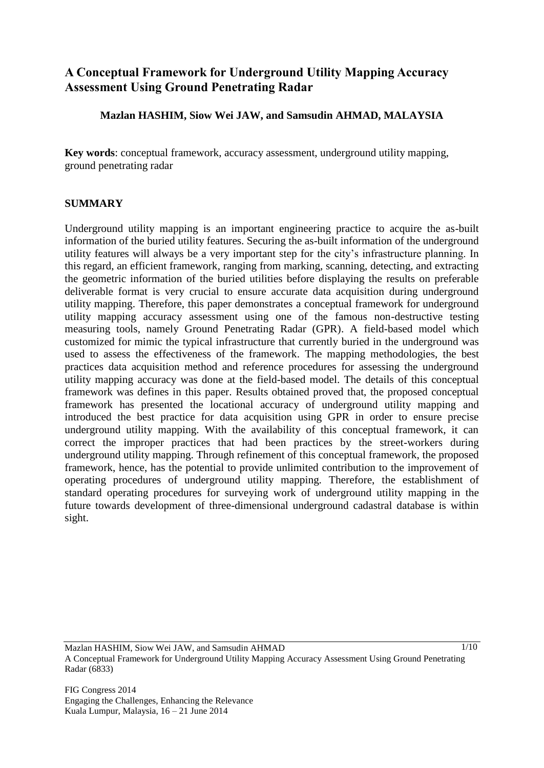# **A Conceptual Framework for Underground Utility Mapping Accuracy Assessment Using Ground Penetrating Radar**

# **Mazlan HASHIM, Siow Wei JAW, and Samsudin AHMAD, MALAYSIA**

**Key words**: conceptual framework, accuracy assessment, underground utility mapping, ground penetrating radar

# **SUMMARY**

Underground utility mapping is an important engineering practice to acquire the as-built information of the buried utility features. Securing the as-built information of the underground utility features will always be a very important step for the city's infrastructure planning. In this regard, an efficient framework, ranging from marking, scanning, detecting, and extracting the geometric information of the buried utilities before displaying the results on preferable deliverable format is very crucial to ensure accurate data acquisition during underground utility mapping. Therefore, this paper demonstrates a conceptual framework for underground utility mapping accuracy assessment using one of the famous non-destructive testing measuring tools, namely Ground Penetrating Radar (GPR). A field-based model which customized for mimic the typical infrastructure that currently buried in the underground was used to assess the effectiveness of the framework. The mapping methodologies, the best practices data acquisition method and reference procedures for assessing the underground utility mapping accuracy was done at the field-based model. The details of this conceptual framework was defines in this paper. Results obtained proved that, the proposed conceptual framework has presented the locational accuracy of underground utility mapping and introduced the best practice for data acquisition using GPR in order to ensure precise underground utility mapping. With the availability of this conceptual framework, it can correct the improper practices that had been practices by the street-workers during underground utility mapping. Through refinement of this conceptual framework, the proposed framework, hence, has the potential to provide unlimited contribution to the improvement of operating procedures of underground utility mapping. Therefore, the establishment of standard operating procedures for surveying work of underground utility mapping in the future towards development of three-dimensional underground cadastral database is within sight.

Mazlan HASHIM, Siow Wei JAW, and Samsudin AHMAD A Conceptual Framework for Underground Utility Mapping Accuracy Assessment Using Ground Penetrating Radar (6833)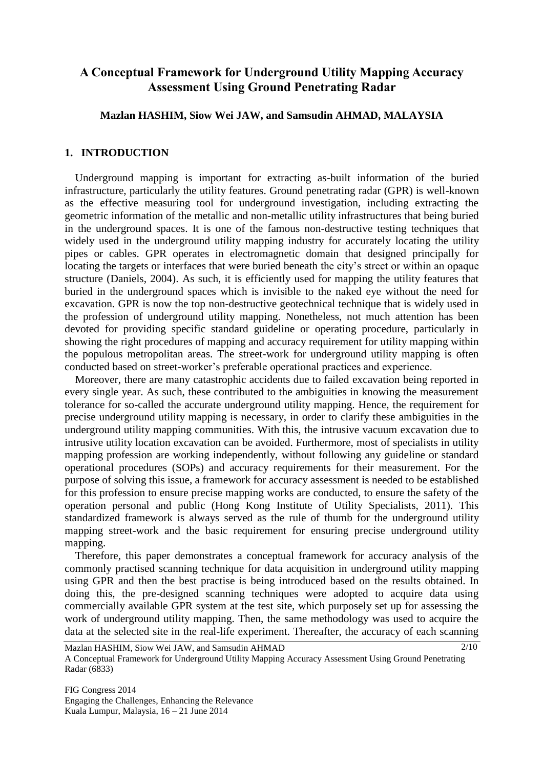# **A Conceptual Framework for Underground Utility Mapping Accuracy Assessment Using Ground Penetrating Radar**

#### **Mazlan HASHIM, Siow Wei JAW, and Samsudin AHMAD, MALAYSIA**

#### **1. INTRODUCTION**

Underground mapping is important for extracting as-built information of the buried infrastructure, particularly the utility features. Ground penetrating radar (GPR) is well-known as the effective measuring tool for underground investigation, including extracting the geometric information of the metallic and non-metallic utility infrastructures that being buried in the underground spaces. It is one of the famous non-destructive testing techniques that widely used in the underground utility mapping industry for accurately locating the utility pipes or cables. GPR operates in electromagnetic domain that designed principally for locating the targets or interfaces that were buried beneath the city's street or within an opaque structure (Daniels, 2004). As such, it is efficiently used for mapping the utility features that buried in the underground spaces which is invisible to the naked eye without the need for excavation. GPR is now the top non-destructive geotechnical technique that is widely used in the profession of underground utility mapping. Nonetheless, not much attention has been devoted for providing specific standard guideline or operating procedure, particularly in showing the right procedures of mapping and accuracy requirement for utility mapping within the populous metropolitan areas. The street-work for underground utility mapping is often conducted based on street-worker's preferable operational practices and experience.

Moreover, there are many catastrophic accidents due to failed excavation being reported in every single year. As such, these contributed to the ambiguities in knowing the measurement tolerance for so-called the accurate underground utility mapping. Hence, the requirement for precise underground utility mapping is necessary, in order to clarify these ambiguities in the underground utility mapping communities. With this, the intrusive vacuum excavation due to intrusive utility location excavation can be avoided. Furthermore, most of specialists in utility mapping profession are working independently, without following any guideline or standard operational procedures (SOPs) and accuracy requirements for their measurement. For the purpose of solving this issue, a framework for accuracy assessment is needed to be established for this profession to ensure precise mapping works are conducted, to ensure the safety of the operation personal and public (Hong Kong Institute of Utility Specialists, 2011). This standardized framework is always served as the rule of thumb for the underground utility mapping street-work and the basic requirement for ensuring precise underground utility mapping.

Therefore, this paper demonstrates a conceptual framework for accuracy analysis of the commonly practised scanning technique for data acquisition in underground utility mapping using GPR and then the best practise is being introduced based on the results obtained. In doing this, the pre-designed scanning techniques were adopted to acquire data using commercially available GPR system at the test site, which purposely set up for assessing the work of underground utility mapping. Then, the same methodology was used to acquire the data at the selected site in the real-life experiment. Thereafter, the accuracy of each scanning

Mazlan HASHIM, Siow Wei JAW, and Samsudin AHMAD A Conceptual Framework for Underground Utility Mapping Accuracy Assessment Using Ground Penetrating Radar (6833)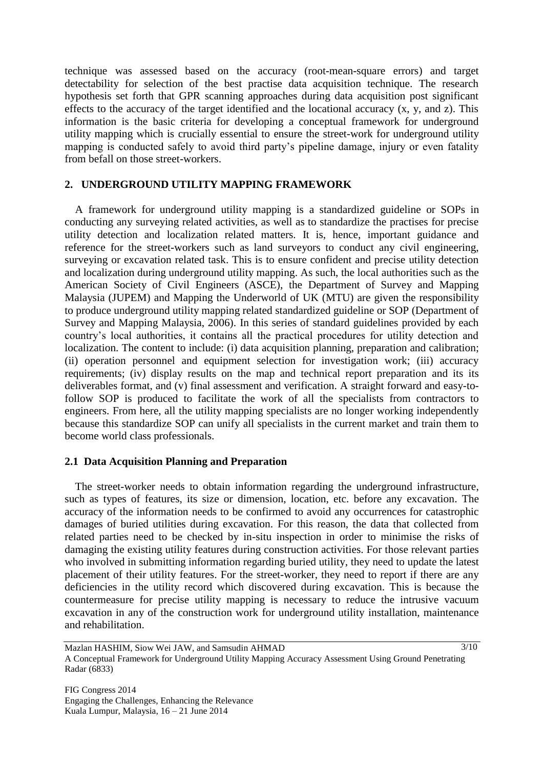technique was assessed based on the accuracy (root-mean-square errors) and target detectability for selection of the best practise data acquisition technique. The research hypothesis set forth that GPR scanning approaches during data acquisition post significant effects to the accuracy of the target identified and the locational accuracy  $(x, y, and z)$ . This information is the basic criteria for developing a conceptual framework for underground utility mapping which is crucially essential to ensure the street-work for underground utility mapping is conducted safely to avoid third party's pipeline damage, injury or even fatality from befall on those street-workers.

#### **2. UNDERGROUND UTILITY MAPPING FRAMEWORK**

A framework for underground utility mapping is a standardized guideline or SOPs in conducting any surveying related activities, as well as to standardize the practises for precise utility detection and localization related matters. It is, hence, important guidance and reference for the street-workers such as land surveyors to conduct any civil engineering, surveying or excavation related task. This is to ensure confident and precise utility detection and localization during underground utility mapping. As such, the local authorities such as the American Society of Civil Engineers (ASCE), the Department of Survey and Mapping Malaysia (JUPEM) and Mapping the Underworld of UK (MTU) are given the responsibility to produce underground utility mapping related standardized guideline or SOP (Department of Survey and Mapping Malaysia, 2006). In this series of standard guidelines provided by each country's local authorities, it contains all the practical procedures for utility detection and localization. The content to include: (i) data acquisition planning, preparation and calibration; (ii) operation personnel and equipment selection for investigation work; (iii) accuracy requirements; (iv) display results on the map and technical report preparation and its its deliverables format, and (v) final assessment and verification. A straight forward and easy-tofollow SOP is produced to facilitate the work of all the specialists from contractors to engineers. From here, all the utility mapping specialists are no longer working independently because this standardize SOP can unify all specialists in the current market and train them to become world class professionals.

#### **2.1 Data Acquisition Planning and Preparation**

The street-worker needs to obtain information regarding the underground infrastructure, such as types of features, its size or dimension, location, etc. before any excavation. The accuracy of the information needs to be confirmed to avoid any occurrences for catastrophic damages of buried utilities during excavation. For this reason, the data that collected from related parties need to be checked by in-situ inspection in order to minimise the risks of damaging the existing utility features during construction activities. For those relevant parties who involved in submitting information regarding buried utility, they need to update the latest placement of their utility features. For the street-worker, they need to report if there are any deficiencies in the utility record which discovered during excavation. This is because the countermeasure for precise utility mapping is necessary to reduce the intrusive vacuum excavation in any of the construction work for underground utility installation, maintenance and rehabilitation.

Mazlan HASHIM, Siow Wei JAW, and Samsudin AHMAD A Conceptual Framework for Underground Utility Mapping Accuracy Assessment Using Ground Penetrating Radar (6833)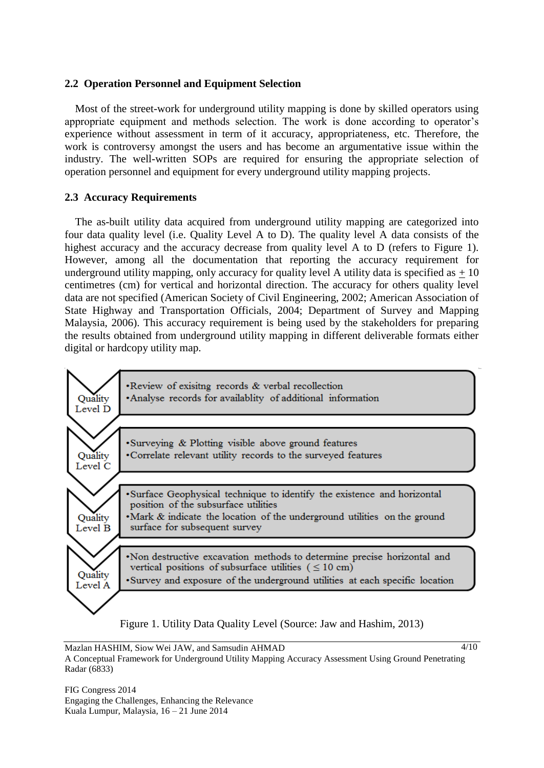#### **2.2 Operation Personnel and Equipment Selection**

Most of the street-work for underground utility mapping is done by skilled operators using appropriate equipment and methods selection. The work is done according to operator's experience without assessment in term of it accuracy, appropriateness, etc. Therefore, the work is controversy amongst the users and has become an argumentative issue within the industry. The well-written SOPs are required for ensuring the appropriate selection of operation personnel and equipment for every underground utility mapping projects.

#### **2.3 Accuracy Requirements**

The as-built utility data acquired from underground utility mapping are categorized into four data quality level (i.e. Quality Level A to D). The quality level A data consists of the highest accuracy and the accuracy decrease from quality level A to D (refers to Figure 1). However, among all the documentation that reporting the accuracy requirement for underground utility mapping, only accuracy for quality level A utility data is specified as  $\pm$  10 centimetres (cm) for vertical and horizontal direction. The accuracy for others quality level data are not specified (American Society of Civil Engineering, 2002; American Association of State Highway and Transportation Officials, 2004; Department of Survey and Mapping Malaysia, 2006). This accuracy requirement is being used by the stakeholders for preparing the results obtained from underground utility mapping in different deliverable formats either digital or hardcopy utility map.



Mazlan HASHIM, Siow Wei JAW, and Samsudin AHMAD A Conceptual Framework for Underground Utility Mapping Accuracy Assessment Using Ground Penetrating Radar (6833)  $4/10$ 

FIG Congress 2014 Engaging the Challenges, Enhancing the Relevance Kuala Lumpur, Malaysia, 16 – 21 June 2014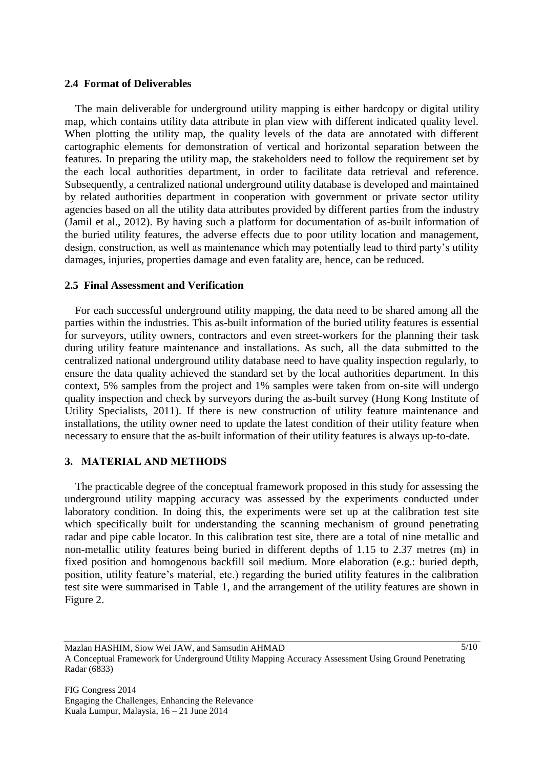#### **2.4 Format of Deliverables**

The main deliverable for underground utility mapping is either hardcopy or digital utility map, which contains utility data attribute in plan view with different indicated quality level. When plotting the utility map, the quality levels of the data are annotated with different cartographic elements for demonstration of vertical and horizontal separation between the features. In preparing the utility map, the stakeholders need to follow the requirement set by the each local authorities department, in order to facilitate data retrieval and reference. Subsequently, a centralized national underground utility database is developed and maintained by related authorities department in cooperation with government or private sector utility agencies based on all the utility data attributes provided by different parties from the industry (Jamil et al., 2012). By having such a platform for documentation of as-built information of the buried utility features, the adverse effects due to poor utility location and management, design, construction, as well as maintenance which may potentially lead to third party's utility damages, injuries, properties damage and even fatality are, hence, can be reduced.

#### **2.5 Final Assessment and Verification**

For each successful underground utility mapping, the data need to be shared among all the parties within the industries. This as-built information of the buried utility features is essential for surveyors, utility owners, contractors and even street-workers for the planning their task during utility feature maintenance and installations. As such, all the data submitted to the centralized national underground utility database need to have quality inspection regularly, to ensure the data quality achieved the standard set by the local authorities department. In this context, 5% samples from the project and 1% samples were taken from on-site will undergo quality inspection and check by surveyors during the as-built survey (Hong Kong Institute of Utility Specialists, 2011). If there is new construction of utility feature maintenance and installations, the utility owner need to update the latest condition of their utility feature when necessary to ensure that the as-built information of their utility features is always up-to-date.

#### **3. MATERIAL AND METHODS**

The practicable degree of the conceptual framework proposed in this study for assessing the underground utility mapping accuracy was assessed by the experiments conducted under laboratory condition. In doing this, the experiments were set up at the calibration test site which specifically built for understanding the scanning mechanism of ground penetrating radar and pipe cable locator. In this calibration test site, there are a total of nine metallic and non-metallic utility features being buried in different depths of 1.15 to 2.37 metres (m) in fixed position and homogenous backfill soil medium. More elaboration (e.g.: buried depth, position, utility feature's material, etc.) regarding the buried utility features in the calibration test site were summarised in Table 1, and the arrangement of the utility features are shown in Figure 2.

Mazlan HASHIM, Siow Wei JAW, and Samsudin AHMAD A Conceptual Framework for Underground Utility Mapping Accuracy Assessment Using Ground Penetrating Radar (6833)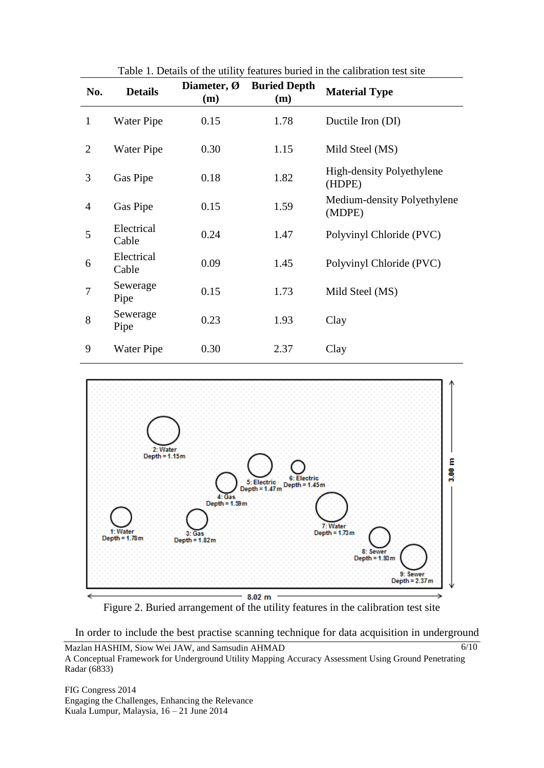| No.            | <b>Details</b>      | Diameter, Ø<br>(m) | <b>Buried Depth</b><br>(m) | <b>Material Type</b>                  |
|----------------|---------------------|--------------------|----------------------------|---------------------------------------|
| $\mathbf{1}$   | Water Pipe          | 0.15               | 1.78                       | Ductile Iron (DI)                     |
| $\overline{2}$ | Water Pipe          | 0.30               | 1.15                       | Mild Steel (MS)                       |
| 3              | Gas Pipe            | 0.18               | 1.82                       | High-density Polyethylene<br>(HDPE)   |
| 4              | Gas Pipe            | 0.15               | 1.59                       | Medium-density Polyethylene<br>(MDPE) |
| 5              | Electrical<br>Cable | 0.24               | 1.47                       | Polyvinyl Chloride (PVC)              |
| 6              | Electrical<br>Cable | 0.09               | 1.45                       | Polyvinyl Chloride (PVC)              |
| $\overline{7}$ | Sewerage<br>Pipe    | 0.15               | 1.73                       | Mild Steel (MS)                       |
| 8              | Sewerage<br>Pipe    | 0.23               | 1.93                       | Clay                                  |
| 9              | Water Pipe          | 0.30               | 2.37                       | Clay                                  |

Table 1. Details of the utility features buried in the calibration test site



Figure 2. Buried arrangement of the utility features in the calibration test site

In order to include the best practise scanning technique for data acquisition in underground

FIG Congress 2014 Engaging the Challenges, Enhancing the Relevance Kuala Lumpur, Malaysia, 16 – 21 June 2014

Mazlan HASHIM, Siow Wei JAW, and Samsudin AHMAD A Conceptual Framework for Underground Utility Mapping Accuracy Assessment Using Ground Penetrating Radar (6833) 6/10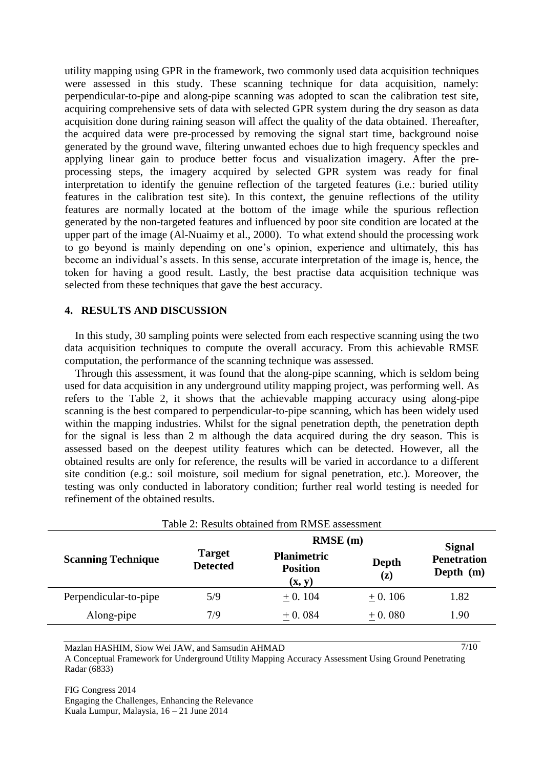utility mapping using GPR in the framework, two commonly used data acquisition techniques were assessed in this study. These scanning technique for data acquisition, namely: perpendicular-to-pipe and along-pipe scanning was adopted to scan the calibration test site, acquiring comprehensive sets of data with selected GPR system during the dry season as data acquisition done during raining season will affect the quality of the data obtained. Thereafter, the acquired data were pre-processed by removing the signal start time, background noise generated by the ground wave, filtering unwanted echoes due to high frequency speckles and applying linear gain to produce better focus and visualization imagery. After the preprocessing steps, the imagery acquired by selected GPR system was ready for final interpretation to identify the genuine reflection of the targeted features (i.e.: buried utility features in the calibration test site). In this context, the genuine reflections of the utility features are normally located at the bottom of the image while the spurious reflection generated by the non-targeted features and influenced by poor site condition are located at the upper part of the image (Al-Nuaimy et al., 2000). To what extend should the processing work to go beyond is mainly depending on one's opinion, experience and ultimately, this has become an individual's assets. In this sense, accurate interpretation of the image is, hence, the token for having a good result. Lastly, the best practise data acquisition technique was selected from these techniques that gave the best accuracy.

#### **4. RESULTS AND DISCUSSION**

In this study, 30 sampling points were selected from each respective scanning using the two data acquisition techniques to compute the overall accuracy. From this achievable RMSE computation, the performance of the scanning technique was assessed.

Through this assessment, it was found that the along-pipe scanning, which is seldom being used for data acquisition in any underground utility mapping project, was performing well. As refers to the Table 2, it shows that the achievable mapping accuracy using along-pipe scanning is the best compared to perpendicular-to-pipe scanning, which has been widely used within the mapping industries. Whilst for the signal penetration depth, the penetration depth for the signal is less than 2 m although the data acquired during the dry season. This is assessed based on the deepest utility features which can be detected. However, all the obtained results are only for reference, the results will be varied in accordance to a different site condition (e.g.: soil moisture, soil medium for signal penetration, etc.). Moreover, the testing was only conducted in laboratory condition; further real world testing is needed for refinement of the obtained results.

| Table 2: Results obtained from RMSE assessment                |                                                 |                         |                                                    |  |  |  |  |
|---------------------------------------------------------------|-------------------------------------------------|-------------------------|----------------------------------------------------|--|--|--|--|
|                                                               | $RMSE$ (m)                                      |                         |                                                    |  |  |  |  |
| <b>Target</b><br><b>Scanning Technique</b><br><b>Detected</b> | <b>Planimetric</b><br><b>Position</b><br>(x, y) | Depth<br>$(\mathbf{z})$ | <b>Signal</b><br><b>Penetration</b><br>Depth $(m)$ |  |  |  |  |
| Perpendicular-to-pipe<br>5/9                                  | $+0.104$                                        | $+0.106$                | 1.82                                               |  |  |  |  |
| Along-pipe<br>7/9                                             | $+0.084$                                        | $+0.080$                | 1.90                                               |  |  |  |  |

 $7/10$ 

Mazlan HASHIM, Siow Wei JAW, and Samsudin AHMAD A Conceptual Framework for Underground Utility Mapping Accuracy Assessment Using Ground Penetrating Radar (6833)

FIG Congress 2014 Engaging the Challenges, Enhancing the Relevance Kuala Lumpur, Malaysia, 16 – 21 June 2014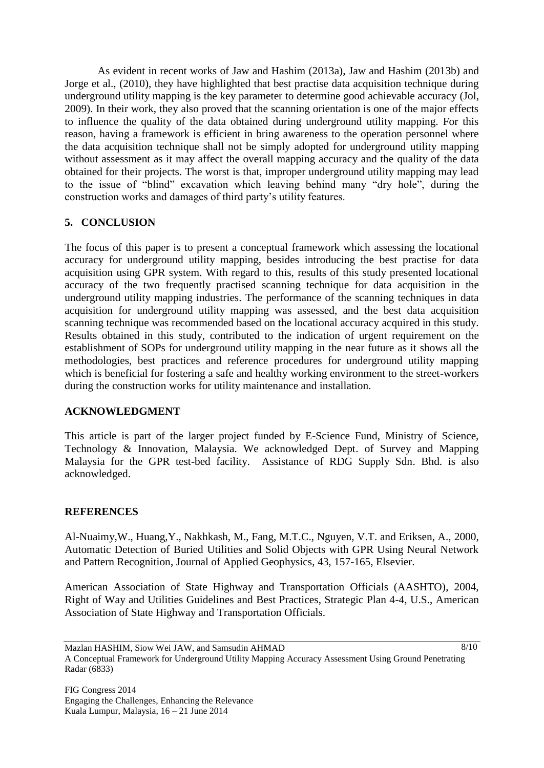As evident in recent works of Jaw and Hashim (2013a), Jaw and Hashim (2013b) and Jorge et al., (2010), they have highlighted that best practise data acquisition technique during underground utility mapping is the key parameter to determine good achievable accuracy (Jol, 2009). In their work, they also proved that the scanning orientation is one of the major effects to influence the quality of the data obtained during underground utility mapping. For this reason, having a framework is efficient in bring awareness to the operation personnel where the data acquisition technique shall not be simply adopted for underground utility mapping without assessment as it may affect the overall mapping accuracy and the quality of the data obtained for their projects. The worst is that, improper underground utility mapping may lead to the issue of "blind" excavation which leaving behind many "dry hole", during the construction works and damages of third party's utility features.

# **5. CONCLUSION**

The focus of this paper is to present a conceptual framework which assessing the locational accuracy for underground utility mapping, besides introducing the best practise for data acquisition using GPR system. With regard to this, results of this study presented locational accuracy of the two frequently practised scanning technique for data acquisition in the underground utility mapping industries. The performance of the scanning techniques in data acquisition for underground utility mapping was assessed, and the best data acquisition scanning technique was recommended based on the locational accuracy acquired in this study. Results obtained in this study, contributed to the indication of urgent requirement on the establishment of SOPs for underground utility mapping in the near future as it shows all the methodologies, best practices and reference procedures for underground utility mapping which is beneficial for fostering a safe and healthy working environment to the street-workers during the construction works for utility maintenance and installation.

# **ACKNOWLEDGMENT**

This article is part of the larger project funded by E-Science Fund, Ministry of Science, Technology & Innovation, Malaysia. We acknowledged Dept. of Survey and Mapping Malaysia for the GPR test-bed facility. Assistance of RDG Supply Sdn. Bhd. is also acknowledged.

# **REFERENCES**

Al-Nuaimy,W., Huang,Y., Nakhkash, M., Fang, M.T.C., Nguyen, V.T. and Eriksen, A., 2000, Automatic Detection of Buried Utilities and Solid Objects with GPR Using Neural Network and Pattern Recognition, Journal of Applied Geophysics, 43, 157-165, Elsevier.

American Association of State Highway and Transportation Officials (AASHTO), 2004, Right of Way and Utilities Guidelines and Best Practices, Strategic Plan 4-4, U.S., American Association of State Highway and Transportation Officials.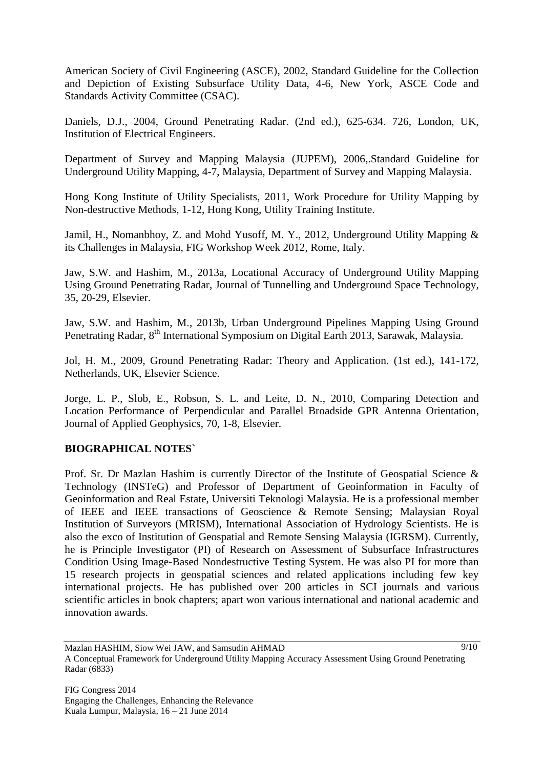American Society of Civil Engineering (ASCE), 2002, Standard Guideline for the Collection and Depiction of Existing Subsurface Utility Data, 4-6, New York, ASCE Code and Standards Activity Committee (CSAC).

Daniels, D.J., 2004, Ground Penetrating Radar. (2nd ed.), 625-634. 726, London, UK, Institution of Electrical Engineers.

Department of Survey and Mapping Malaysia (JUPEM), 2006,.Standard Guideline for Underground Utility Mapping, 4-7, Malaysia, Department of Survey and Mapping Malaysia.

Hong Kong Institute of Utility Specialists, 2011, Work Procedure for Utility Mapping by Non-destructive Methods, 1-12, Hong Kong, Utility Training Institute.

Jamil, H., Nomanbhoy, Z. and Mohd Yusoff, M. Y., 2012, Underground Utility Mapping & its Challenges in Malaysia, FIG Workshop Week 2012, Rome, Italy.

Jaw, S.W. and Hashim, M., 2013a, Locational Accuracy of Underground Utility Mapping Using Ground Penetrating Radar, Journal of Tunnelling and Underground Space Technology, 35, 20-29, Elsevier.

Jaw, S.W. and Hashim, M., 2013b, Urban Underground Pipelines Mapping Using Ground Penetrating Radar, 8<sup>th</sup> International Symposium on Digital Earth 2013, Sarawak, Malaysia.

Jol, H. M., 2009, Ground Penetrating Radar: Theory and Application. (1st ed.), 141-172, Netherlands, UK, Elsevier Science.

Jorge, L. P., Slob, E., Robson, S. L. and Leite, D. N., 2010, Comparing Detection and Location Performance of Perpendicular and Parallel Broadside GPR Antenna Orientation, Journal of Applied Geophysics, 70, 1-8, Elsevier.

# **BIOGRAPHICAL NOTES`**

Prof. Sr. Dr Mazlan Hashim is currently Director of the Institute of Geospatial Science & Technology (INSTeG) and Professor of Department of Geoinformation in Faculty of Geoinformation and Real Estate, Universiti Teknologi Malaysia. He is a professional member of IEEE and IEEE transactions of Geoscience & Remote Sensing; Malaysian Royal Institution of Surveyors (MRISM), International Association of Hydrology Scientists. He is also the exco of Institution of Geospatial and Remote Sensing Malaysia (IGRSM). Currently, he is Principle Investigator (PI) of Research on Assessment of Subsurface Infrastructures Condition Using Image-Based Nondestructive Testing System. He was also PI for more than 15 research projects in geospatial sciences and related applications including few key international projects. He has published over 200 articles in SCI journals and various scientific articles in book chapters; apart won various international and national academic and innovation awards.

Mazlan HASHIM, Siow Wei JAW, and Samsudin AHMAD A Conceptual Framework for Underground Utility Mapping Accuracy Assessment Using Ground Penetrating Radar (6833)  $9/10$